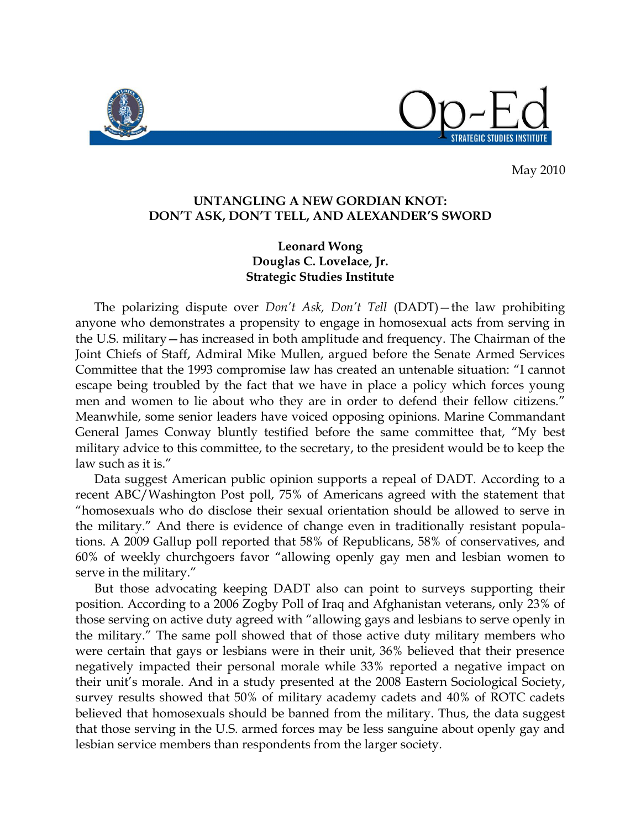

May 2010

## **UNTANGLING A NEW GORDIAN KNOT: DON'T ASK, DON'T TELL, AND ALEXANDER'S SWORD**

## **Leonard Wong Douglas C. Lovelace, Jr. Strategic Studies Institute**

 The polarizing dispute over *Don't Ask, Don't Tell* (DADT)—the law prohibiting anyone who demonstrates a propensity to engage in homosexual acts from serving in the U.S. military—has increased in both amplitude and frequency. The Chairman of the Joint Chiefs of Staff, Admiral Mike Mullen, argued before the Senate Armed Services Committee that the 1993 compromise law has created an untenable situation: "I cannot escape being troubled by the fact that we have in place a policy which forces young men and women to lie about who they are in order to defend their fellow citizens." Meanwhile, some senior leaders have voiced opposing opinions. Marine Commandant General James Conway bluntly testified before the same committee that, "My best military advice to this committee, to the secretary, to the president would be to keep the law such as it is."

 Data suggest American public opinion supports a repeal of DADT. According to a recent ABC/Washington Post poll, 75% of Americans agreed with the statement that "homosexuals who do disclose their sexual orientation should be allowed to serve in the military." And there is evidence of change even in traditionally resistant populations. A 2009 Gallup poll reported that 58% of Republicans, 58% of conservatives, and 60% of weekly churchgoers favor "allowing openly gay men and lesbian women to serve in the military."

 But those advocating keeping DADT also can point to surveys supporting their position. According to a 2006 Zogby Poll of Iraq and Afghanistan veterans, only 23% of those serving on active duty agreed with "allowing gays and lesbians to serve openly in the military." The same poll showed that of those active duty military members who were certain that gays or lesbians were in their unit, 36% believed that their presence negatively impacted their personal morale while 33% reported a negative impact on their unit's morale. And in a study presented at the 2008 Eastern Sociological Society, survey results showed that 50% of military academy cadets and 40% of ROTC cadets believed that homosexuals should be banned from the military. Thus, the data suggest that those serving in the U.S. armed forces may be less sanguine about openly gay and lesbian service members than respondents from the larger society.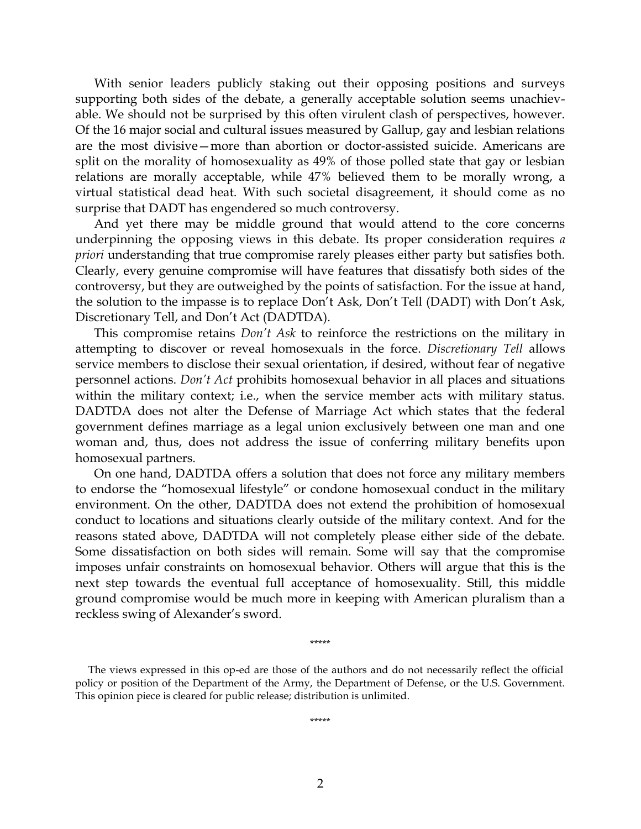With senior leaders publicly staking out their opposing positions and surveys supporting both sides of the debate, a generally acceptable solution seems unachievable. We should not be surprised by this often virulent clash of perspectives, however. Of the 16 major social and cultural issues measured by Gallup, gay and lesbian relations are the most divisive—more than abortion or doctor-assisted suicide. Americans are split on the morality of homosexuality as 49% of those polled state that gay or lesbian relations are morally acceptable, while 47% believed them to be morally wrong, a virtual statistical dead heat. With such societal disagreement, it should come as no surprise that DADT has engendered so much controversy.

 And yet there may be middle ground that would attend to the core concerns underpinning the opposing views in this debate. Its proper consideration requires *a priori* understanding that true compromise rarely pleases either party but satisfies both. Clearly, every genuine compromise will have features that dissatisfy both sides of the controversy, but they are outweighed by the points of satisfaction. For the issue at hand, the solution to the impasse is to replace Don't Ask, Don't Tell (DADT) with Don't Ask, Discretionary Tell, and Don't Act (DADTDA).

 This compromise retains *Don't Ask* to reinforce the restrictions on the military in attempting to discover or reveal homosexuals in the force. *Discretionary Tell* allows service members to disclose their sexual orientation, if desired, without fear of negative personnel actions. *Don't Act* prohibits homosexual behavior in all places and situations within the military context; i.e., when the service member acts with military status. DADTDA does not alter the Defense of Marriage Act which states that the federal government defines marriage as a legal union exclusively between one man and one woman and, thus, does not address the issue of conferring military benefits upon homosexual partners.

 On one hand, DADTDA offers a solution that does not force any military members to endorse the "homosexual lifestyle" or condone homosexual conduct in the military environment. On the other, DADTDA does not extend the prohibition of homosexual conduct to locations and situations clearly outside of the military context. And for the reasons stated above, DADTDA will not completely please either side of the debate. Some dissatisfaction on both sides will remain. Some will say that the compromise imposes unfair constraints on homosexual behavior. Others will argue that this is the next step towards the eventual full acceptance of homosexuality. Still, this middle ground compromise would be much more in keeping with American pluralism than a reckless swing of Alexander's sword.

 The views expressed in this op-ed are those of the authors and do not necessarily reflect the official policy or position of the Department of the Army, the Department of Defense, or the U.S. Government. This opinion piece is cleared for public release; distribution is unlimited.

\*\*\*\*\*

\*\*\*\*\*